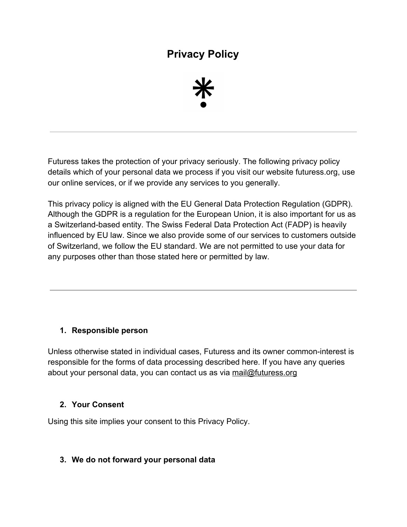# **Privacy Policy**



Futuress takes the protection of your privacy seriously. The following privacy policy details which of your personal data we process if you visit our website futuress.org, use our online services, or if we provide any services to you generally.

This privacy policy is aligned with the EU General Data Protection Regulation (GDPR). Although the GDPR is a regulation for the European Union, it is also important for us as a Switzerland-based entity. The Swiss Federal Data Protection Act (FADP) is heavily influenced by EU law. Since we also provide some of our services to customers outside of Switzerland, we follow the EU standard. We are not permitted to use your data for any purposes other than those stated here or permitted by law.

#### **1. Responsible person**

Unless otherwise stated in individual cases, Futuress and its owner common-interest is responsible for the forms of data processing described here. If you have any queries about your personal data, you can contact us as via [mail@futuress.org](mailto:mail@futuress.org)

#### **2. Your Consent**

Using this site implies your consent to this Privacy Policy.

#### **3. We do not forward your personal data**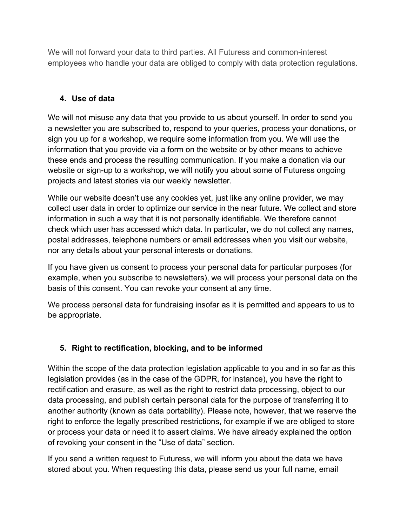We will not forward your data to third parties. All Futuress and common-interest employees who handle your data are obliged to comply with data protection regulations.

## **4. Use of data**

We will not misuse any data that you provide to us about yourself. In order to send you a newsletter you are subscribed to, respond to your queries, process your donations, or sign you up for a workshop, we require some information from you. We will use the information that you provide via a form on the website or by other means to achieve these ends and process the resulting communication. If you make a donation via our website or sign-up to a workshop, we will notify you about some of Futuress ongoing projects and latest stories via our weekly newsletter.

While our website doesn't use any cookies yet, just like any online provider, we may collect user data in order to optimize our service in the near future. We collect and store information in such a way that it is not personally identifiable. We therefore cannot check which user has accessed which data. In particular, we do not collect any names, postal addresses, telephone numbers or email addresses when you visit our website, nor any details about your personal interests or donations.

If you have given us consent to process your personal data for particular purposes (for example, when you subscribe to newsletters), we will process your personal data on the basis of this consent. You can revoke your consent at any time.

We process personal data for fundraising insofar as it is permitted and appears to us to be appropriate.

# **5. Right to rectification, blocking, and to be informed**

Within the scope of the data protection legislation applicable to you and in so far as this legislation provides (as in the case of the GDPR, for instance), you have the right to rectification and erasure, as well as the right to restrict data processing, object to our data processing, and publish certain personal data for the purpose of transferring it to another authority (known as data portability). Please note, however, that we reserve the right to enforce the legally prescribed restrictions, for example if we are obliged to store or process your data or need it to assert claims. We have already explained the option of revoking your consent in the "Use of data" section.

If you send a written request to Futuress, we will inform you about the data we have stored about you. When requesting this data, please send us your full name, email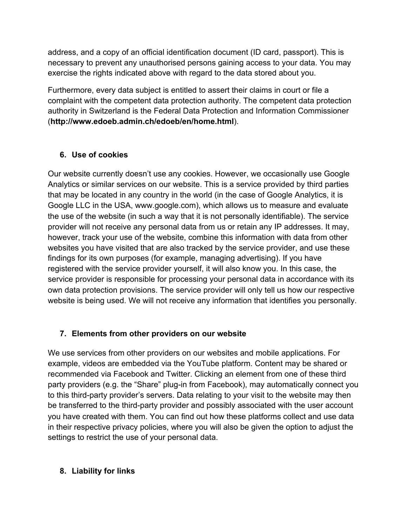address, and a copy of an official identification document (ID card, passport). This is necessary to prevent any unauthorised persons gaining access to your data. You may exercise the rights indicated above with regard to the data stored about you.

Furthermore, every data subject is entitled to assert their claims in court or file a complaint with the competent data protection authority. The competent data protection authority in Switzerland is the Federal Data Protection and Information Commissioner (**[http://www.edoeb.admin.ch/edoeb/en/home.html](https://www.edoeb.admin.ch/edoeb/en/home.html)**).

## **6. Use of cookies**

Our website currently doesn't use any cookies. However, we occasionally use Google Analytics or similar services on our website. This is a service provided by third parties that may be located in any country in the world (in the case of Google Analytics, it is Google LLC in the USA, www.google.com), which allows us to measure and evaluate the use of the website (in such a way that it is not personally identifiable). The service provider will not receive any personal data from us or retain any IP addresses. It may, however, track your use of the website, combine this information with data from other websites you have visited that are also tracked by the service provider, and use these findings for its own purposes (for example, managing advertising). If you have registered with the service provider yourself, it will also know you. In this case, the service provider is responsible for processing your personal data in accordance with its own data protection provisions. The service provider will only tell us how our respective website is being used. We will not receive any information that identifies you personally.

## **7. Elements from other providers on our website**

We use services from other providers on our websites and mobile applications. For example, videos are embedded via the YouTube platform. Content may be shared or recommended via Facebook and Twitter. Clicking an element from one of these third party providers (e.g. the "Share" plug-in from Facebook), may automatically connect you to this third-party provider's servers. Data relating to your visit to the website may then be transferred to the third-party provider and possibly associated with the user account you have created with them. You can find out how these platforms collect and use data in their respective privacy policies, where you will also be given the option to adjust the settings to restrict the use of your personal data.

## **8. Liability for links**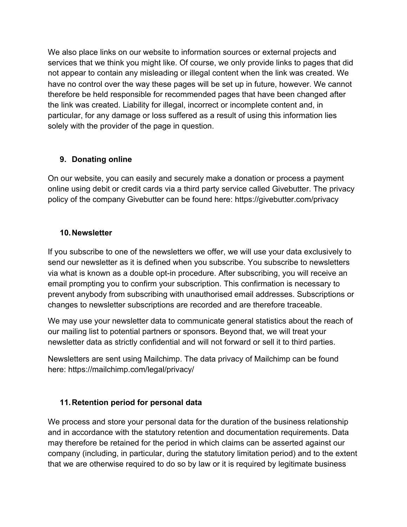We also place links on our website to information sources or external projects and services that we think you might like. Of course, we only provide links to pages that did not appear to contain any misleading or illegal content when the link was created. We have no control over the way these pages will be set up in future, however. We cannot therefore be held responsible for recommended pages that have been changed after the link was created. Liability for illegal, incorrect or incomplete content and, in particular, for any damage or loss suffered as a result of using this information lies solely with the provider of the page in question.

## **9. Donating online**

On our website, you can easily and securely make a donation or process a payment online using debit or credit cards via a third party service called Givebutter. The privacy policy of the company Givebutter can be found here: https://givebutter.com/privacy

#### **10.Newsletter**

If you subscribe to one of the newsletters we offer, we will use your data exclusively to send our newsletter as it is defined when you subscribe. You subscribe to newsletters via what is known as a double opt-in procedure. After subscribing, you will receive an email prompting you to confirm your subscription. This confirmation is necessary to prevent anybody from subscribing with unauthorised email addresses. Subscriptions or changes to newsletter subscriptions are recorded and are therefore traceable.

We may use your newsletter data to communicate general statistics about the reach of our mailing list to potential partners or sponsors. Beyond that, we will treat your newsletter data as strictly confidential and will not forward or sell it to third parties.

Newsletters are sent using Mailchimp. The data privacy of Mailchimp can be found here: https://mailchimp.com/legal/privacy/

## **11.Retention period for personal data**

We process and store your personal data for the duration of the business relationship and in accordance with the statutory retention and documentation requirements. Data may therefore be retained for the period in which claims can be asserted against our company (including, in particular, during the statutory limitation period) and to the extent that we are otherwise required to do so by law or it is required by legitimate business